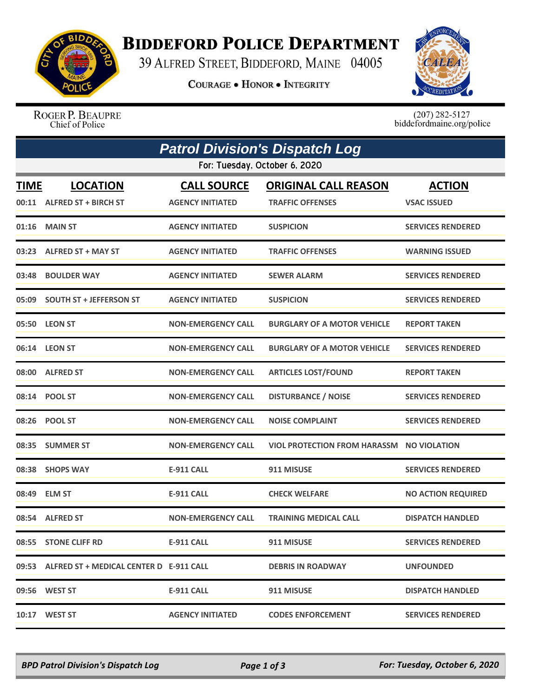

## **BIDDEFORD POLICE DEPARTMENT**

39 ALFRED STREET, BIDDEFORD, MAINE 04005

**COURAGE . HONOR . INTEGRITY** 



ROGER P. BEAUPRE Chief of Police

 $(207)$  282-5127<br>biddefordmaine.org/police

| <b>Patrol Division's Dispatch Log</b> |                                               |                                               |                                                        |                                     |  |  |  |
|---------------------------------------|-----------------------------------------------|-----------------------------------------------|--------------------------------------------------------|-------------------------------------|--|--|--|
| For: Tuesday, October 6, 2020         |                                               |                                               |                                                        |                                     |  |  |  |
| <b>TIME</b>                           | <b>LOCATION</b><br>00:11 ALFRED ST + BIRCH ST | <b>CALL SOURCE</b><br><b>AGENCY INITIATED</b> | <b>ORIGINAL CALL REASON</b><br><b>TRAFFIC OFFENSES</b> | <b>ACTION</b><br><b>VSAC ISSUED</b> |  |  |  |
| 01:16                                 | <b>MAIN ST</b>                                | <b>AGENCY INITIATED</b>                       | <b>SUSPICION</b>                                       | <b>SERVICES RENDERED</b>            |  |  |  |
|                                       | 03:23 ALFRED ST + MAY ST                      | <b>AGENCY INITIATED</b>                       | <b>TRAFFIC OFFENSES</b>                                | <b>WARNING ISSUED</b>               |  |  |  |
| 03:48                                 | <b>BOULDER WAY</b>                            | <b>AGENCY INITIATED</b>                       | <b>SEWER ALARM</b>                                     | <b>SERVICES RENDERED</b>            |  |  |  |
|                                       | 05:09 SOUTH ST + JEFFERSON ST                 | <b>AGENCY INITIATED</b>                       | <b>SUSPICION</b>                                       | <b>SERVICES RENDERED</b>            |  |  |  |
|                                       | 05:50 LEON ST                                 | <b>NON-EMERGENCY CALL</b>                     | <b>BURGLARY OF A MOTOR VEHICLE</b>                     | <b>REPORT TAKEN</b>                 |  |  |  |
|                                       | 06:14 LEON ST                                 | <b>NON-EMERGENCY CALL</b>                     | <b>BURGLARY OF A MOTOR VEHICLE</b>                     | <b>SERVICES RENDERED</b>            |  |  |  |
|                                       | 08:00 ALFRED ST                               | <b>NON-EMERGENCY CALL</b>                     | <b>ARTICLES LOST/FOUND</b>                             | <b>REPORT TAKEN</b>                 |  |  |  |
|                                       | 08:14 POOL ST                                 | <b>NON-EMERGENCY CALL</b>                     | <b>DISTURBANCE / NOISE</b>                             | <b>SERVICES RENDERED</b>            |  |  |  |
|                                       | 08:26 POOL ST                                 | <b>NON-EMERGENCY CALL</b>                     | <b>NOISE COMPLAINT</b>                                 | <b>SERVICES RENDERED</b>            |  |  |  |
| 08:35                                 | <b>SUMMER ST</b>                              | <b>NON-EMERGENCY CALL</b>                     | VIOL PROTECTION FROM HARASSM NO VIOLATION              |                                     |  |  |  |
|                                       | 08:38 SHOPS WAY                               | E-911 CALL                                    | 911 MISUSE                                             | <b>SERVICES RENDERED</b>            |  |  |  |
|                                       | 08:49 ELM ST                                  | <b>E-911 CALL</b>                             | <b>CHECK WELFARE</b>                                   | <b>NO ACTION REQUIRED</b>           |  |  |  |
|                                       | 08:54 ALFRED ST                               | <b>NON-EMERGENCY CALL</b>                     | <b>TRAINING MEDICAL CALL</b>                           | <b>DISPATCH HANDLED</b>             |  |  |  |
|                                       | 08:55 STONE CLIFF RD                          | E-911 CALL                                    | 911 MISUSE                                             | <b>SERVICES RENDERED</b>            |  |  |  |
|                                       | 09:53 ALFRED ST + MEDICAL CENTER D E-911 CALL |                                               | <b>DEBRIS IN ROADWAY</b>                               | <b>UNFOUNDED</b>                    |  |  |  |
|                                       | 09:56 WEST ST                                 | <b>E-911 CALL</b>                             | 911 MISUSE                                             | <b>DISPATCH HANDLED</b>             |  |  |  |
|                                       | 10:17 WEST ST                                 | <b>AGENCY INITIATED</b>                       | <b>CODES ENFORCEMENT</b>                               | <b>SERVICES RENDERED</b>            |  |  |  |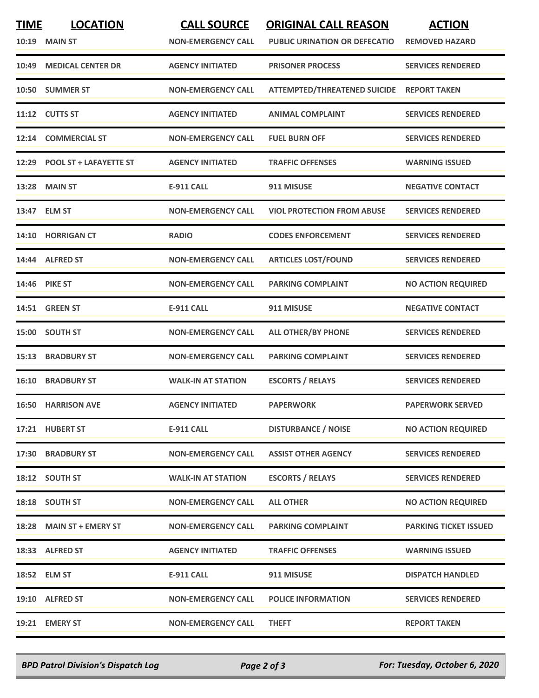| <b>TIME</b> | <b>LOCATION</b><br><b>10:19 MAIN ST</b> | <b>CALL SOURCE</b><br><b>NON-EMERGENCY CALL</b> | <b>ORIGINAL CALL REASON</b><br><b>PUBLIC URINATION OR DEFECATIO</b> | <b>ACTION</b><br><b>REMOVED HAZARD</b> |
|-------------|-----------------------------------------|-------------------------------------------------|---------------------------------------------------------------------|----------------------------------------|
| 10:49       | <b>MEDICAL CENTER DR</b>                | <b>AGENCY INITIATED</b>                         | <b>PRISONER PROCESS</b>                                             | <b>SERVICES RENDERED</b>               |
|             | 10:50 SUMMER ST                         | <b>NON-EMERGENCY CALL</b>                       | <b>ATTEMPTED/THREATENED SUICIDE</b>                                 | <b>REPORT TAKEN</b>                    |
|             | 11:12 CUTTS ST                          | <b>AGENCY INITIATED</b>                         | <b>ANIMAL COMPLAINT</b>                                             | <b>SERVICES RENDERED</b>               |
|             | 12:14 COMMERCIAL ST                     | <b>NON-EMERGENCY CALL</b>                       | <b>FUEL BURN OFF</b>                                                | <b>SERVICES RENDERED</b>               |
|             | 12:29 POOL ST + LAFAYETTE ST            | <b>AGENCY INITIATED</b>                         | <b>TRAFFIC OFFENSES</b>                                             | <b>WARNING ISSUED</b>                  |
|             | <b>13:28 MAIN ST</b>                    | <b>E-911 CALL</b>                               | 911 MISUSE                                                          | <b>NEGATIVE CONTACT</b>                |
|             | 13:47 ELM ST                            | <b>NON-EMERGENCY CALL</b>                       | <b>VIOL PROTECTION FROM ABUSE</b>                                   | <b>SERVICES RENDERED</b>               |
|             | 14:10 HORRIGAN CT                       | <b>RADIO</b>                                    | <b>CODES ENFORCEMENT</b>                                            | <b>SERVICES RENDERED</b>               |
|             | 14:44 ALFRED ST                         | <b>NON-EMERGENCY CALL</b>                       | <b>ARTICLES LOST/FOUND</b>                                          | <b>SERVICES RENDERED</b>               |
|             | 14:46 PIKE ST                           | <b>NON-EMERGENCY CALL</b>                       | <b>PARKING COMPLAINT</b>                                            | <b>NO ACTION REQUIRED</b>              |
|             | 14:51 GREEN ST                          | <b>E-911 CALL</b>                               | 911 MISUSE                                                          | <b>NEGATIVE CONTACT</b>                |
|             | 15:00 SOUTH ST                          | <b>NON-EMERGENCY CALL</b>                       | <b>ALL OTHER/BY PHONE</b>                                           | <b>SERVICES RENDERED</b>               |
| 15:13       | <b>BRADBURY ST</b>                      | <b>NON-EMERGENCY CALL</b>                       | <b>PARKING COMPLAINT</b>                                            | <b>SERVICES RENDERED</b>               |
|             | <b>16:10 BRADBURY ST</b>                | <b>WALK-IN AT STATION</b>                       | <b>ESCORTS / RELAYS</b>                                             | <b>SERVICES RENDERED</b>               |
|             | <b>16:50 HARRISON AVE</b>               | <b>AGENCY INITIATED</b>                         | <b>PAPERWORK</b>                                                    | <b>PAPERWORK SERVED</b>                |
|             | 17:21 HUBERT ST                         | <b>E-911 CALL</b>                               | <b>DISTURBANCE / NOISE</b>                                          | <b>NO ACTION REQUIRED</b>              |
|             | 17:30 BRADBURY ST                       | <b>NON-EMERGENCY CALL</b>                       | <b>ASSIST OTHER AGENCY</b>                                          | <b>SERVICES RENDERED</b>               |
|             | 18:12 SOUTH ST                          | <b>WALK-IN AT STATION</b>                       | <b>ESCORTS / RELAYS</b>                                             | <b>SERVICES RENDERED</b>               |
|             | 18:18 SOUTH ST                          | <b>NON-EMERGENCY CALL</b>                       | <b>ALL OTHER</b>                                                    | <b>NO ACTION REQUIRED</b>              |
|             | 18:28 MAIN ST + EMERY ST                | <b>NON-EMERGENCY CALL</b>                       | <b>PARKING COMPLAINT</b>                                            | <b>PARKING TICKET ISSUED</b>           |
|             | 18:33 ALFRED ST                         | <b>AGENCY INITIATED</b>                         | <b>TRAFFIC OFFENSES</b>                                             | <b>WARNING ISSUED</b>                  |
|             | 18:52 ELM ST                            | <b>E-911 CALL</b>                               | 911 MISUSE                                                          | <b>DISPATCH HANDLED</b>                |
|             | 19:10 ALFRED ST                         | <b>NON-EMERGENCY CALL</b>                       | <b>POLICE INFORMATION</b>                                           | <b>SERVICES RENDERED</b>               |
|             | 19:21 EMERY ST                          | <b>NON-EMERGENCY CALL</b>                       | <b>THEFT</b>                                                        | <b>REPORT TAKEN</b>                    |

*BPD Patrol Division's Dispatch Log Page 2 of 3 For: Tuesday, October 6, 2020*